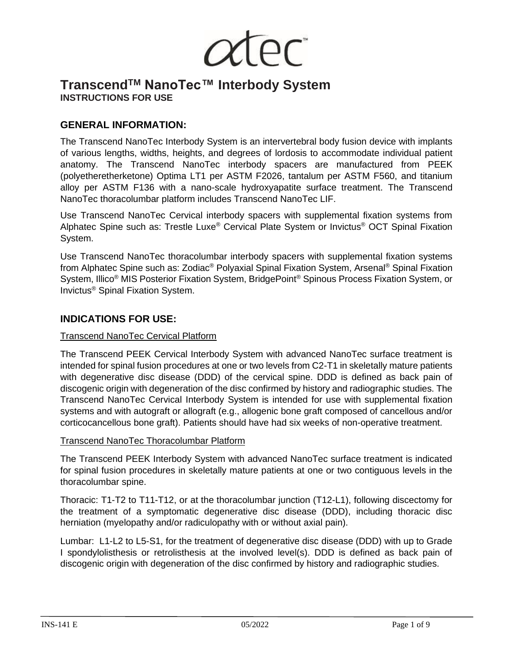JC"

# **TranscendTM NanoTec™ Interbody System INSTRUCTIONS FOR USE**

## **GENERAL INFORMATION:**

The Transcend NanoTec Interbody System is an intervertebral body fusion device with implants of various lengths, widths, heights, and degrees of lordosis to accommodate individual patient anatomy. The Transcend NanoTec interbody spacers are manufactured from PEEK (polyetheretherketone) Optima LT1 per ASTM F2026, tantalum per ASTM F560, and titanium alloy per ASTM F136 with a nano-scale hydroxyapatite surface treatment. The Transcend NanoTec thoracolumbar platform includes Transcend NanoTec LIF.

Use Transcend NanoTec Cervical interbody spacers with supplemental fixation systems from Alphatec Spine such as: Trestle Luxe® Cervical Plate System or Invictus® OCT Spinal Fixation System.

Use Transcend NanoTec thoracolumbar interbody spacers with supplemental fixation systems from Alphatec Spine such as: Zodiac® Polyaxial Spinal Fixation System, Arsenal® Spinal Fixation System, Illico® MIS Posterior Fixation System, BridgePoint® Spinous Process Fixation System, or Invictus® Spinal Fixation System.

## **INDICATIONS FOR USE:**

#### Transcend NanoTec Cervical Platform

The Transcend PEEK Cervical Interbody System with advanced NanoTec surface treatment is intended for spinal fusion procedures at one or two levels from C2-T1 in skeletally mature patients with degenerative disc disease (DDD) of the cervical spine. DDD is defined as back pain of discogenic origin with degeneration of the disc confirmed by history and radiographic studies. The Transcend NanoTec Cervical Interbody System is intended for use with supplemental fixation systems and with autograft or allograft (e.g., allogenic bone graft composed of cancellous and/or corticocancellous bone graft). Patients should have had six weeks of non-operative treatment.

#### Transcend NanoTec Thoracolumbar Platform

The Transcend PEEK Interbody System with advanced NanoTec surface treatment is indicated for spinal fusion procedures in skeletally mature patients at one or two contiguous levels in the thoracolumbar spine.

Thoracic: T1-T2 to T11-T12, or at the thoracolumbar junction (T12-L1), following discectomy for the treatment of a symptomatic degenerative disc disease (DDD), including thoracic disc herniation (myelopathy and/or radiculopathy with or without axial pain).

Lumbar: L1-L2 to L5-S1, for the treatment of degenerative disc disease (DDD) with up to Grade I spondylolisthesis or retrolisthesis at the involved level(s). DDD is defined as back pain of discogenic origin with degeneration of the disc confirmed by history and radiographic studies.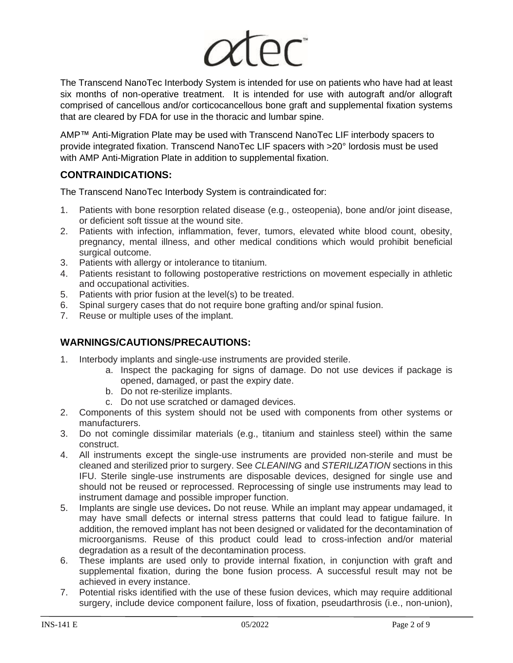

The Transcend NanoTec Interbody System is intended for use on patients who have had at least six months of non-operative treatment. It is intended for use with autograft and/or allograft comprised of cancellous and/or corticocancellous bone graft and supplemental fixation systems that are cleared by FDA for use in the thoracic and lumbar spine.

AMP™ Anti-Migration Plate may be used with Transcend NanoTec LIF interbody spacers to provide integrated fixation. Transcend NanoTec LIF spacers with >20° lordosis must be used with AMP Anti-Migration Plate in addition to supplemental fixation.

## **CONTRAINDICATIONS:**

The Transcend NanoTec Interbody System is contraindicated for:

- 1. Patients with bone resorption related disease (e.g., osteopenia), bone and/or joint disease, or deficient soft tissue at the wound site.
- 2. Patients with infection, inflammation, fever, tumors, elevated white blood count, obesity, pregnancy, mental illness, and other medical conditions which would prohibit beneficial surgical outcome.
- 3. Patients with allergy or intolerance to titanium.
- 4. Patients resistant to following postoperative restrictions on movement especially in athletic and occupational activities.
- 5. Patients with prior fusion at the level(s) to be treated.
- 6. Spinal surgery cases that do not require bone grafting and/or spinal fusion.
- 7. Reuse or multiple uses of the implant.

## **WARNINGS/CAUTIONS/PRECAUTIONS:**

- 1. Interbody implants and single-use instruments are provided sterile.
	- a. Inspect the packaging for signs of damage. Do not use devices if package is opened, damaged, or past the expiry date.
	- b. Do not re-sterilize implants.
	- c. Do not use scratched or damaged devices.
- 2. Components of this system should not be used with components from other systems or manufacturers.
- 3. Do not comingle dissimilar materials (e.g., titanium and stainless steel) within the same construct.
- 4. All instruments except the single-use instruments are provided non-sterile and must be cleaned and sterilized prior to surgery. See *CLEANING* and *STERILIZATION* sections in this IFU. Sterile single-use instruments are disposable devices, designed for single use and should not be reused or reprocessed. Reprocessing of single use instruments may lead to instrument damage and possible improper function.
- 5. Implants are single use devices**.** Do not reuse*.* While an implant may appear undamaged, it may have small defects or internal stress patterns that could lead to fatigue failure. In addition, the removed implant has not been designed or validated for the decontamination of microorganisms. Reuse of this product could lead to cross-infection and/or material degradation as a result of the decontamination process.
- 6. These implants are used only to provide internal fixation, in conjunction with graft and supplemental fixation, during the bone fusion process. A successful result may not be achieved in every instance.
- 7. Potential risks identified with the use of these fusion devices, which may require additional surgery, include device component failure, loss of fixation, pseudarthrosis (i.e., non-union),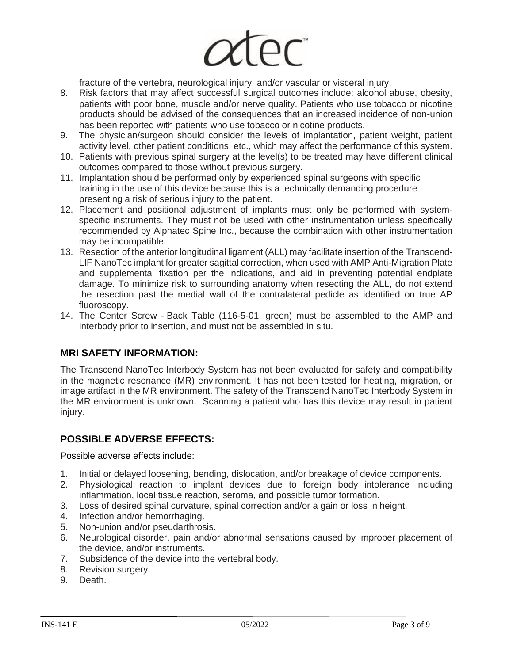

fracture of the vertebra, neurological injury, and/or vascular or visceral injury.

- 8. Risk factors that may affect successful surgical outcomes include: alcohol abuse, obesity, patients with poor bone, muscle and/or nerve quality. Patients who use tobacco or nicotine products should be advised of the consequences that an increased incidence of non-union has been reported with patients who use tobacco or nicotine products.
- 9. The physician/surgeon should consider the levels of implantation, patient weight, patient activity level, other patient conditions, etc., which may affect the performance of this system.
- 10. Patients with previous spinal surgery at the level(s) to be treated may have different clinical outcomes compared to those without previous surgery.
- 11. Implantation should be performed only by experienced spinal surgeons with specific training in the use of this device because this is a technically demanding procedure presenting a risk of serious injury to the patient.
- 12. Placement and positional adjustment of implants must only be performed with systemspecific instruments. They must not be used with other instrumentation unless specifically recommended by Alphatec Spine Inc., because the combination with other instrumentation may be incompatible.
- 13. Resection of the anterior longitudinal ligament (ALL) may facilitate insertion of the Transcend-LIF NanoTec implant for greater sagittal correction, when used with AMP Anti-Migration Plate and supplemental fixation per the indications, and aid in preventing potential endplate damage. To minimize risk to surrounding anatomy when resecting the ALL, do not extend the resection past the medial wall of the contralateral pedicle as identified on true AP fluoroscopy.
- 14. The Center Screw Back Table (116-5-01, green) must be assembled to the AMP and interbody prior to insertion, and must not be assembled in situ.

#### **MRI SAFETY INFORMATION:**

The Transcend NanoTec Interbody System has not been evaluated for safety and compatibility in the magnetic resonance (MR) environment. It has not been tested for heating, migration, or image artifact in the MR environment. The safety of the Transcend NanoTec Interbody System in the MR environment is unknown. Scanning a patient who has this device may result in patient injury.

#### **POSSIBLE ADVERSE EFFECTS:**

Possible adverse effects include:

- 1. Initial or delayed loosening, bending, dislocation, and/or breakage of device components.
- 2. Physiological reaction to implant devices due to foreign body intolerance including inflammation, local tissue reaction, seroma, and possible tumor formation.
- 3. Loss of desired spinal curvature, spinal correction and/or a gain or loss in height.
- 4. Infection and/or hemorrhaging.
- 5. Non-union and/or pseudarthrosis.
- 6. Neurological disorder, pain and/or abnormal sensations caused by improper placement of the device, and/or instruments.
- 7. Subsidence of the device into the vertebral body.
- 8. Revision surgery.
- 9. Death.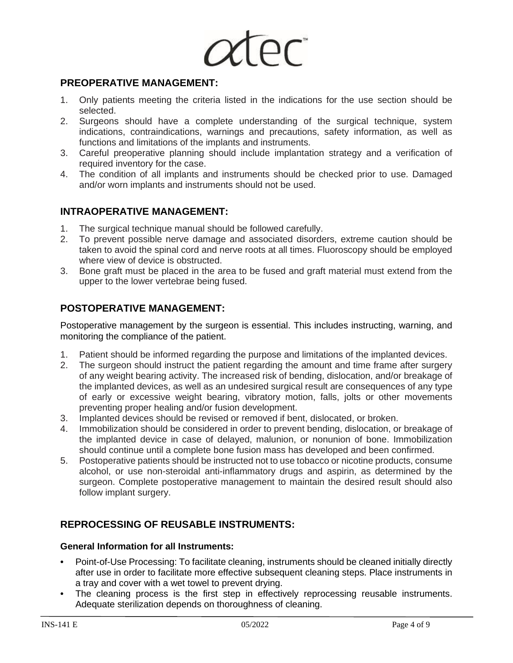

## **PREOPERATIVE MANAGEMENT:**

- 1. Only patients meeting the criteria listed in the indications for the use section should be selected.
- 2. Surgeons should have a complete understanding of the surgical technique, system indications, contraindications, warnings and precautions, safety information, as well as functions and limitations of the implants and instruments.
- 3. Careful preoperative planning should include implantation strategy and a verification of required inventory for the case.
- 4. The condition of all implants and instruments should be checked prior to use. Damaged and/or worn implants and instruments should not be used.

## **INTRAOPERATIVE MANAGEMENT:**

- 1. The surgical technique manual should be followed carefully.
- 2. To prevent possible nerve damage and associated disorders, extreme caution should be taken to avoid the spinal cord and nerve roots at all times. Fluoroscopy should be employed where view of device is obstructed.
- 3. Bone graft must be placed in the area to be fused and graft material must extend from the upper to the lower vertebrae being fused.

## **POSTOPERATIVE MANAGEMENT:**

Postoperative management by the surgeon is essential. This includes instructing, warning, and monitoring the compliance of the patient.

- 1. Patient should be informed regarding the purpose and limitations of the implanted devices.
- 2. The surgeon should instruct the patient regarding the amount and time frame after surgery of any weight bearing activity. The increased risk of bending, dislocation, and/or breakage of the implanted devices, as well as an undesired surgical result are consequences of any type of early or excessive weight bearing, vibratory motion, falls, jolts or other movements preventing proper healing and/or fusion development.
- 3. Implanted devices should be revised or removed if bent, dislocated, or broken.
- 4. Immobilization should be considered in order to prevent bending, dislocation, or breakage of the implanted device in case of delayed, malunion, or nonunion of bone. Immobilization should continue until a complete bone fusion mass has developed and been confirmed.
- 5. Postoperative patients should be instructed not to use tobacco or nicotine products, consume alcohol, or use non-steroidal anti-inflammatory drugs and aspirin, as determined by the surgeon. Complete postoperative management to maintain the desired result should also follow implant surgery.

#### **REPROCESSING OF REUSABLE INSTRUMENTS:**

#### **General Information for all Instruments:**

- **•** Point-of-Use Processing: To facilitate cleaning, instruments should be cleaned initially directly after use in order to facilitate more effective subsequent cleaning steps. Place instruments in a tray and cover with a wet towel to prevent drying.
- The cleaning process is the first step in effectively reprocessing reusable instruments. Adequate sterilization depends on thoroughness of cleaning.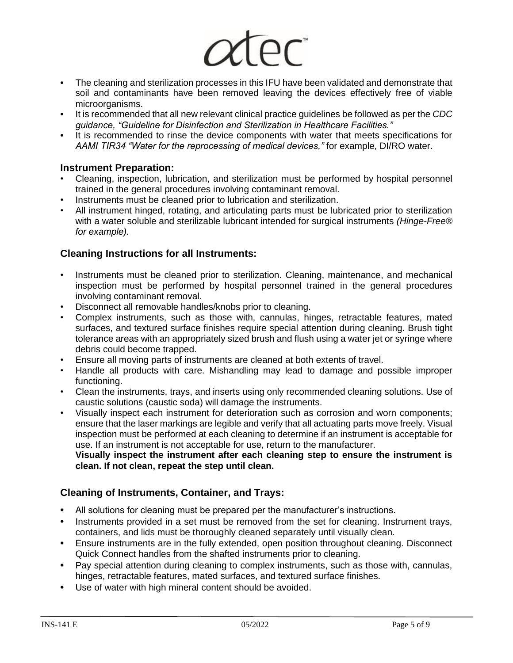

- **•** The cleaning and sterilization processes in this IFU have been validated and demonstrate that soil and contaminants have been removed leaving the devices effectively free of viable microorganisms.
- **•** It is recommended that all new relevant clinical practice guidelines be followed as per the *CDC guidance, "Guideline for Disinfection and Sterilization in Healthcare Facilities."*
- **•** It is recommended to rinse the device components with water that meets specifications for *AAMI TIR34 "Water for the reprocessing of medical devices,"* for example, DI/RO water.

#### **Instrument Preparation:**

- Cleaning, inspection, lubrication, and sterilization must be performed by hospital personnel trained in the general procedures involving contaminant removal.
- Instruments must be cleaned prior to lubrication and sterilization.
- All instrument hinged, rotating, and articulating parts must be lubricated prior to sterilization with a water soluble and sterilizable lubricant intended for surgical instruments *(Hinge-Free® for example).*

#### **Cleaning Instructions for all Instruments:**

- Instruments must be cleaned prior to sterilization. Cleaning, maintenance, and mechanical inspection must be performed by hospital personnel trained in the general procedures involving contaminant removal.
- Disconnect all removable handles/knobs prior to cleaning.
- Complex instruments, such as those with, cannulas, hinges, retractable features, mated surfaces, and textured surface finishes require special attention during cleaning. Brush tight tolerance areas with an appropriately sized brush and flush using a water jet or syringe where debris could become trapped.
- Ensure all moving parts of instruments are cleaned at both extents of travel.
- Handle all products with care. Mishandling may lead to damage and possible improper functioning.
- Clean the instruments, trays, and inserts using only recommended cleaning solutions. Use of caustic solutions (caustic soda) will damage the instruments.
- Visually inspect each instrument for deterioration such as corrosion and worn components; ensure that the laser markings are legible and verify that all actuating parts move freely. Visual inspection must be performed at each cleaning to determine if an instrument is acceptable for use. If an instrument is not acceptable for use, return to the manufacturer.

**Visually inspect the instrument after each cleaning step to ensure the instrument is clean. If not clean, repeat the step until clean.**

#### **Cleaning of Instruments, Container, and Trays:**

- **•** All solutions for cleaning must be prepared per the manufacturer's instructions.
- **•** Instruments provided in a set must be removed from the set for cleaning. Instrument trays, containers, and lids must be thoroughly cleaned separately until visually clean.
- **•** Ensure instruments are in the fully extended, open position throughout cleaning. Disconnect Quick Connect handles from the shafted instruments prior to cleaning.
- **•** Pay special attention during cleaning to complex instruments, such as those with, cannulas, hinges, retractable features, mated surfaces, and textured surface finishes.
- **•** Use of water with high mineral content should be avoided.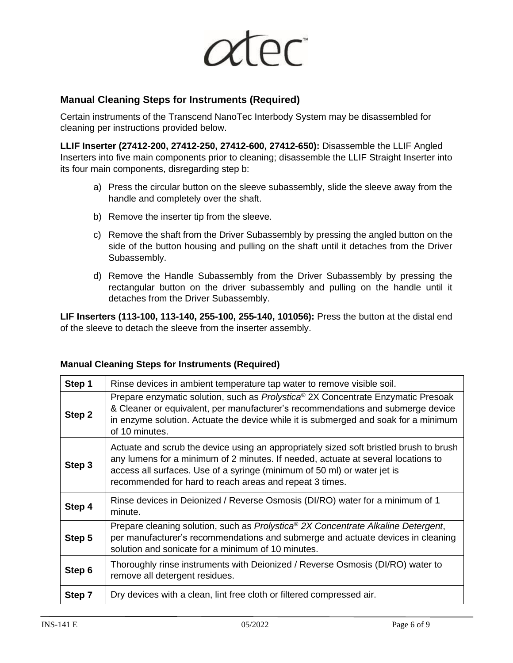

## **Manual Cleaning Steps for Instruments (Required)**

Certain instruments of the Transcend NanoTec Interbody System may be disassembled for cleaning per instructions provided below.

**LLIF Inserter (27412-200, 27412-250, 27412-600, 27412-650):** Disassemble the LLIF Angled Inserters into five main components prior to cleaning; disassemble the LLIF Straight Inserter into its four main components, disregarding step b:

- a) Press the circular button on the sleeve subassembly, slide the sleeve away from the handle and completely over the shaft.
- b) Remove the inserter tip from the sleeve.
- c) Remove the shaft from the Driver Subassembly by pressing the angled button on the side of the button housing and pulling on the shaft until it detaches from the Driver Subassembly.
- d) Remove the Handle Subassembly from the Driver Subassembly by pressing the rectangular button on the driver subassembly and pulling on the handle until it detaches from the Driver Subassembly.

**LIF Inserters (113-100, 113-140, 255-100, 255-140, 101056):** Press the button at the distal end of the sleeve to detach the sleeve from the inserter assembly.

## **Step 1** Rinse devices in ambient temperature tap water to remove visible soil. **Step 2** Prepare enzymatic solution, such as *Prolystica*® 2X Concentrate Enzymatic Presoak & Cleaner or equivalent, per manufacturer's recommendations and submerge device in enzyme solution. Actuate the device while it is submerged and soak for a minimum

|        | In enzyme solution. Actuate the device while it is submerged and soak for a minimum<br>of 10 minutes.                                                                                                                                                                                                              |  |  |  |  |
|--------|--------------------------------------------------------------------------------------------------------------------------------------------------------------------------------------------------------------------------------------------------------------------------------------------------------------------|--|--|--|--|
| Step 3 | Actuate and scrub the device using an appropriately sized soft bristled brush to brush<br>any lumens for a minimum of 2 minutes. If needed, actuate at several locations to<br>access all surfaces. Use of a syringe (minimum of 50 ml) or water jet is<br>recommended for hard to reach areas and repeat 3 times. |  |  |  |  |
| Step 4 | Rinse devices in Deionized / Reverse Osmosis (DI/RO) water for a minimum of 1<br>minute.                                                                                                                                                                                                                           |  |  |  |  |
| Step 5 | Prepare cleaning solution, such as Prolystica® 2X Concentrate Alkaline Detergent,<br>per manufacturer's recommendations and submerge and actuate devices in cleaning<br>solution and sonicate for a minimum of 10 minutes.                                                                                         |  |  |  |  |
| Step 6 | Thoroughly rinse instruments with Deionized / Reverse Osmosis (DI/RO) water to<br>remove all detergent residues.                                                                                                                                                                                                   |  |  |  |  |
| Step 7 | Dry devices with a clean, lint free cloth or filtered compressed air.                                                                                                                                                                                                                                              |  |  |  |  |

# **Manual Cleaning Steps for Instruments (Required)**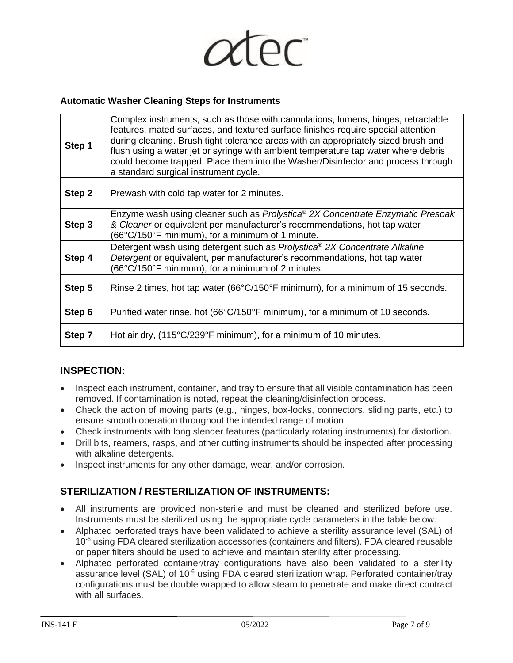

#### **Automatic Washer Cleaning Steps for Instruments**

| Step 1 | Complex instruments, such as those with cannulations, lumens, hinges, retractable<br>features, mated surfaces, and textured surface finishes require special attention<br>during cleaning. Brush tight tolerance areas with an appropriately sized brush and<br>flush using a water jet or syringe with ambient temperature tap water where debris<br>could become trapped. Place them into the Washer/Disinfector and process through<br>a standard surgical instrument cycle. |  |  |  |  |  |
|--------|---------------------------------------------------------------------------------------------------------------------------------------------------------------------------------------------------------------------------------------------------------------------------------------------------------------------------------------------------------------------------------------------------------------------------------------------------------------------------------|--|--|--|--|--|
| Step 2 | Prewash with cold tap water for 2 minutes.                                                                                                                                                                                                                                                                                                                                                                                                                                      |  |  |  |  |  |
| Step 3 | Enzyme wash using cleaner such as Prolystica® 2X Concentrate Enzymatic Presoak<br>& Cleaner or equivalent per manufacturer's recommendations, hot tap water<br>(66°C/150°F minimum), for a minimum of 1 minute.                                                                                                                                                                                                                                                                 |  |  |  |  |  |
| Step 4 | Detergent wash using detergent such as Prolystica <sup>®</sup> 2X Concentrate Alkaline<br>Detergent or equivalent, per manufacturer's recommendations, hot tap water<br>(66°C/150°F minimum), for a minimum of 2 minutes.                                                                                                                                                                                                                                                       |  |  |  |  |  |
| Step 5 | Rinse 2 times, hot tap water ( $66^{\circ}$ C/150 $^{\circ}$ F minimum), for a minimum of 15 seconds.                                                                                                                                                                                                                                                                                                                                                                           |  |  |  |  |  |
| Step 6 | Purified water rinse, hot (66°C/150°F minimum), for a minimum of 10 seconds.                                                                                                                                                                                                                                                                                                                                                                                                    |  |  |  |  |  |
| Step 7 | Hot air dry, (115°C/239°F minimum), for a minimum of 10 minutes.                                                                                                                                                                                                                                                                                                                                                                                                                |  |  |  |  |  |

## **INSPECTION:**

- Inspect each instrument, container, and tray to ensure that all visible contamination has been removed. If contamination is noted, repeat the cleaning/disinfection process.
- Check the action of moving parts (e.g., hinges, box-locks, connectors, sliding parts, etc.) to ensure smooth operation throughout the intended range of motion.
- Check instruments with long slender features (particularly rotating instruments) for distortion.
- Drill bits, reamers, rasps, and other cutting instruments should be inspected after processing with alkaline detergents.
- Inspect instruments for any other damage, wear, and/or corrosion.

## **STERILIZATION / RESTERILIZATION OF INSTRUMENTS:**

- All instruments are provided non-sterile and must be cleaned and sterilized before use. Instruments must be sterilized using the appropriate cycle parameters in the table below.
- Alphatec perforated trays have been validated to achieve a sterility assurance level (SAL) of  $10<sup>-6</sup>$  using FDA cleared sterilization accessories (containers and filters). FDA cleared reusable or paper filters should be used to achieve and maintain sterility after processing.
- Alphatec perforated container/tray configurations have also been validated to a sterility assurance level (SAL) of 10<sup>-6</sup> using FDA cleared sterilization wrap. Perforated container/tray configurations must be double wrapped to allow steam to penetrate and make direct contract with all surfaces.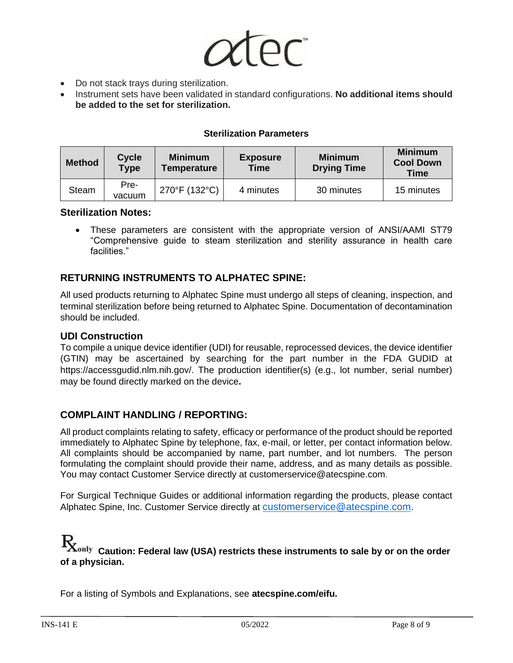

- Do not stack trays during sterilization.
- Instrument sets have been validated in standard configurations. **No additional items should be added to the set for sterilization.**

#### **Sterilization Parameters**

| <b>Method</b> | <b>Cycle</b><br><b>Type</b> | <b>Minimum</b><br><b>Temperature</b> | <b>Exposure</b><br><b>Time</b> | <b>Minimum</b><br><b>Drying Time</b> | <b>Minimum</b><br><b>Cool Down</b><br>Time |
|---------------|-----------------------------|--------------------------------------|--------------------------------|--------------------------------------|--------------------------------------------|
| <b>Steam</b>  | Pre-<br>vacuum              | 270°F (132°C)                        | 4 minutes                      | 30 minutes                           | 15 minutes                                 |

#### **Sterilization Notes:**

• These parameters are consistent with the appropriate version of ANSI/AAMI ST79 "Comprehensive guide to steam sterilization and sterility assurance in health care facilities."

## **RETURNING INSTRUMENTS TO ALPHATEC SPINE:**

All used products returning to Alphatec Spine must undergo all steps of cleaning, inspection, and terminal sterilization before being returned to Alphatec Spine. Documentation of decontamination should be included.

#### **UDI Construction**

To compile a unique device identifier (UDI) for reusable, reprocessed devices, the device identifier (GTIN) may be ascertained by searching for the part number in the FDA GUDID at https://accessgudid.nlm.nih.gov/. The production identifier(s) (e.g., lot number, serial number) may be found directly marked on the device**.**

#### **COMPLAINT HANDLING / REPORTING:**

All product complaints relating to safety, efficacy or performance of the product should be reported immediately to Alphatec Spine by telephone, fax, e-mail, or letter, per contact information below. All complaints should be accompanied by name, part number, and lot numbers. The person formulating the complaint should provide their name, address, and as many details as possible. You may contact Customer Service directly at customerservice@atecspine.com.

For Surgical Technique Guides or additional information regarding the products, please contact Alphatec Spine, Inc. Customer Service directly at [customerservice@atecspine.com](mailto:customerservice@atecspine.com).

# $\emph{\textbf{R}}_{\text{only}}$   $_{\text{Caution:}}$  Federal law (USA) restricts these instruments to sale by or on the order **of a physician.**

For a listing of Symbols and Explanations, see **atecspine.com/eifu.**